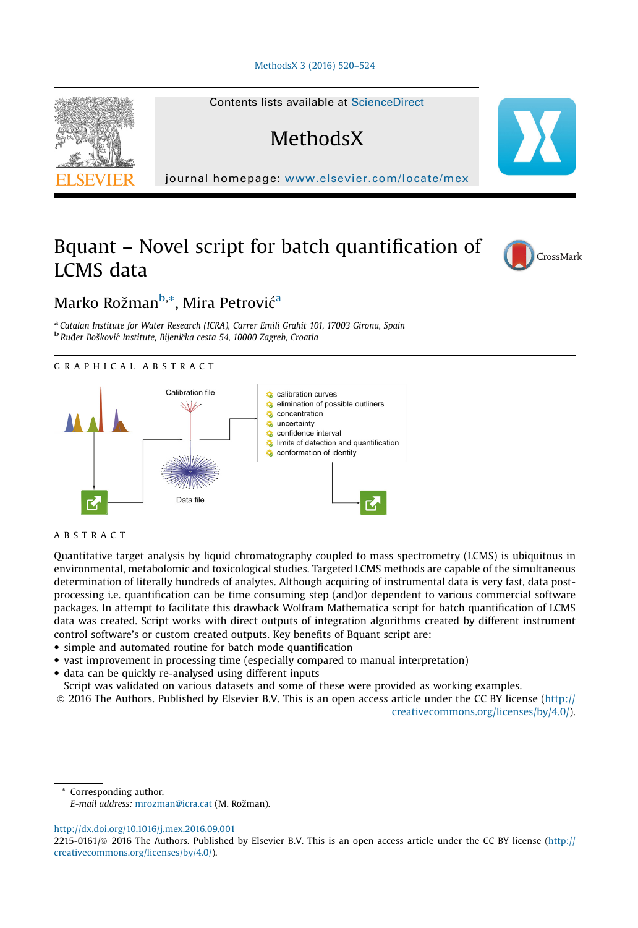



# Bquant – Novel script for batch quantification of LCMS data



## Marko Rožman<sup>b,</sup>\*, Mira Petrović<sup>a</sup>

<sup>a</sup> Catalan Institute for Water Research (ICRA), Carrer Emili Grahit 101, 17003 Girona, Spain <sup>b</sup> Ruđer Bošković Institute, Bijenička cesta 54, 10000 Zagreb, Croatia





## ABSTRACT

Quantitative target analysis by liquid chromatography coupled to mass spectrometry (LCMS) is ubiquitous in environmental, metabolomic and toxicological studies. Targeted LCMS methods are capable of the simultaneous determination of literally hundreds of analytes. Although acquiring of instrumental data is very fast, data postprocessing i.e. quantification can be time consuming step (and)or dependent to various commercial software packages. In attempt to facilitate this drawback Wolfram Mathematica script for batch quantification of LCMS data was created. Script works with direct outputs of integration algorithms created by different instrument control software's or custom created outputs. Key benefits of Bquant script are:

- simple and automated routine for batch mode quantification
- vast improvement in processing time (especially compared to manual interpretation)
- data can be quickly re-analysed using different inputs
- Script was validated on various datasets and some of these were provided as working examples.
- ã 2016 The Authors. Published by Elsevier B.V. This is an open access article under the CC BY license ([http://](http://creativecommons.org/licenses/by/4.0/)

[creativecommons.org/licenses/by/4.0/\)](http://creativecommons.org/licenses/by/4.0/).

Corresponding author. E-mail address: [mrozman@icra.cat](mailto:mrozman@icra.cat) (M. Rožman).

<http://dx.doi.org/10.1016/j.mex.2016.09.001>

<sup>2215-0161/</sup> $\circ$  2016 The Authors. Published by Elsevier B.V. This is an open access article under the CC BY license [\(http://](http://creativecommons.org/licenses/by/4.0/) [creativecommons.org/licenses/by/4.0/](http://creativecommons.org/licenses/by/4.0/)).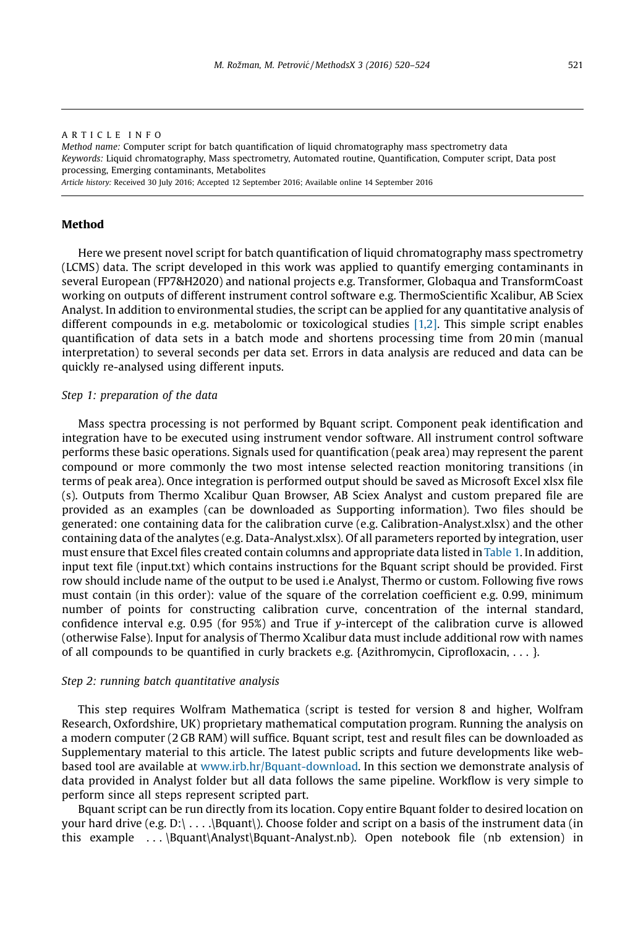#### ARTICLE INFO Method name: Computer script for batch quantification of liquid chromatography mass spectrometry data Keywords: Liquid chromatography, Mass spectrometry, Automated routine, Quantification, Computer script, Data post processing, Emerging contaminants, Metabolites Article history: Received 30 July 2016; Accepted 12 September 2016; Available online 14 September 2016

## Method

Here we present novel script for batch quantification of liquid chromatography mass spectrometry (LCMS) data. The script developed in this work was applied to quantify emerging contaminants in several European (FP7&H2020) and national projects e.g. Transformer, Globaqua and TransformCoast working on outputs of different instrument control software e.g. ThermoScientific Xcalibur, AB Sciex Analyst. In addition to environmental studies, the script can be applied for any quantitative analysis of different compounds in e.g. metabolomic or toxicological studies [\[1,2\].](#page-4-0) This simple script enables quantification of data sets in a batch mode and shortens processing time from 20 min (manual interpretation) to several seconds per data set. Errors in data analysis are reduced and data can be quickly re-analysed using different inputs.

#### Step 1: preparation of the data

Mass spectra processing is not performed by Bquant script. Component peak identification and integration have to be executed using instrument vendor software. All instrument control software performs these basic operations. Signals used for quantification (peak area) may represent the parent compound or more commonly the two most intense selected reaction monitoring transitions (in terms of peak area). Once integration is performed output should be saved as Microsoft Excel xlsx file (s). Outputs from Thermo Xcalibur Quan Browser, AB Sciex Analyst and custom prepared file are provided as an examples (can be downloaded as Supporting information). Two files should be generated: one containing data for the calibration curve (e.g. Calibration-Analyst.xlsx) and the other containing data of the analytes (e.g. Data-Analyst.xlsx). Of all parameters reported by integration, user must ensure that Excel files created contain columns and appropriate data listed in [Table 1.](#page-2-0) In addition, input text file (input.txt) which contains instructions for the Bquant script should be provided. First row should include name of the output to be used i.e Analyst, Thermo or custom. Following five rows must contain (in this order): value of the square of the correlation coefficient e.g. 0.99, minimum number of points for constructing calibration curve, concentration of the internal standard, confidence interval e.g. 0.95 (for 95%) and True if y-intercept of the calibration curve is allowed (otherwise False). Input for analysis of Thermo Xcalibur data must include additional row with names of all compounds to be quantified in curly brackets e.g.  $\{Azithromycin, Ciproflox (... \}.$ 

#### Step 2: running batch quantitative analysis

This step requires Wolfram Mathematica (script is tested for version 8 and higher, Wolfram Research, Oxfordshire, UK) proprietary mathematical computation program. Running the analysis on a modern computer (2 GB RAM) will suffice. Bquant script, test and result files can be downloaded as Supplementary material to this article. The latest public scripts and future developments like webbased tool are available at [www.irb.hr/Bquant-download.](http://www.irb.hr/Bquant-download) In this section we demonstrate analysis of data provided in Analyst folder but all data follows the same pipeline. Workflow is very simple to perform since all steps represent scripted part.

Bquant script can be run directly from its location. Copy entire Bquant folder to desired location on your hard drive (e.g.  $D:\$ ... $\beta$ quant $\)$ . Choose folder and script on a basis of the instrument data (in this example . . . \Bquant\Analyst\Bquant-Analyst.nb). Open notebook file (nb extension) in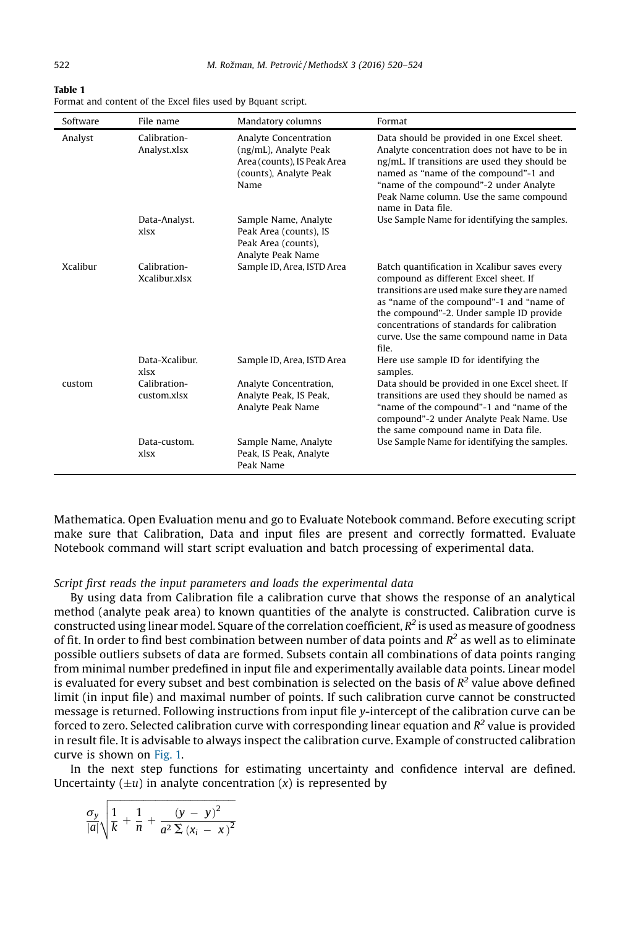<span id="page-2-0"></span>

| ۷ |  |  |  |
|---|--|--|--|
|   |  |  |  |
|   |  |  |  |

| Table 1                                                      |  |
|--------------------------------------------------------------|--|
| Format and content of the Excel files used by Bquant script. |  |

| Software        | File name                     | Mandatory columns                                                                                               | Format                                                                                                                                                                                                                                                                                                                              |
|-----------------|-------------------------------|-----------------------------------------------------------------------------------------------------------------|-------------------------------------------------------------------------------------------------------------------------------------------------------------------------------------------------------------------------------------------------------------------------------------------------------------------------------------|
| Analyst         | Calibration-<br>Analyst.xlsx  | Analyte Concentration<br>(ng/mL), Analyte Peak<br>Area (counts), IS Peak Area<br>(counts), Analyte Peak<br>Name | Data should be provided in one Excel sheet.<br>Analyte concentration does not have to be in<br>ng/mL. If transitions are used they should be<br>named as "name of the compound"-1 and<br>"name of the compound"-2 under Analyte<br>Peak Name column. Use the same compound<br>name in Data file.                                    |
|                 | Data-Analyst.<br>xlsx         | Sample Name, Analyte<br>Peak Area (counts), IS<br>Peak Area (counts),<br>Analyte Peak Name                      | Use Sample Name for identifying the samples.                                                                                                                                                                                                                                                                                        |
| <b>Xcalibur</b> | Calibration-<br>Xcalibur xlsx | Sample ID, Area, ISTD Area                                                                                      | Batch quantification in Xcalibur saves every<br>compound as different Excel sheet. If<br>transitions are used make sure they are named<br>as "name of the compound"-1 and "name of<br>the compound"-2. Under sample ID provide<br>concentrations of standards for calibration<br>curve. Use the same compound name in Data<br>file. |
|                 | Data-Xcalibur.<br>xlsx        | Sample ID, Area, ISTD Area                                                                                      | Here use sample ID for identifying the<br>samples.                                                                                                                                                                                                                                                                                  |
| custom          | Calibration-<br>custom xlsx   | Analyte Concentration,<br>Analyte Peak, IS Peak,<br>Analyte Peak Name                                           | Data should be provided in one Excel sheet. If<br>transitions are used they should be named as<br>"name of the compound"-1 and "name of the<br>compound"-2 under Analyte Peak Name. Use<br>the same compound name in Data file.                                                                                                     |
|                 | Data-custom.<br>xlsx          | Sample Name, Analyte<br>Peak, IS Peak, Analyte<br>Peak Name                                                     | Use Sample Name for identifying the samples.                                                                                                                                                                                                                                                                                        |

Mathematica. Open Evaluation menu and go to Evaluate Notebook command. Before executing script make sure that Calibration, Data and input files are present and correctly formatted. Evaluate Notebook command will start script evaluation and batch processing of experimental data.

## Script first reads the input parameters and loads the experimental data

By using data from Calibration file a calibration curve that shows the response of an analytical method (analyte peak area) to known quantities of the analyte is constructed. Calibration curve is constructed using linear model. Square of the correlation coefficient,  $R^2$  is used as measure of goodness of fit. In order to find best combination between number of data points and  $R^2$  as well as to eliminate possible outliers subsets of data are formed. Subsets contain all combinations of data points ranging from minimal number predefined in input file and experimentally available data points. Linear model is evaluated for every subset and best combination is selected on the basis of  $R^2$  value above defined limit (in input file) and maximal number of points. If such calibration curve cannot be constructed message is returned. Following instructions from input file y-intercept of the calibration curve can be forced to zero. Selected calibration curve with corresponding linear equation and  $R^2$  value is provided in result file. It is advisable to always inspect the calibration curve. Example of constructed calibration curve is shown on [Fig. 1.](#page-3-0)

In the next step functions for estimating uncertainty and confidence interval are defined. Uncertainty  $(\pm u)$  in analyte concentration  $(x)$  is represented by

$$
\frac{\sigma_{y}}{|a|}\sqrt{\frac{1}{k}+\frac{1}{n}+\frac{\left(y-y\right)^{2}}{a^{2}\sum\left(x_{i}-x\right)^{2}}}
$$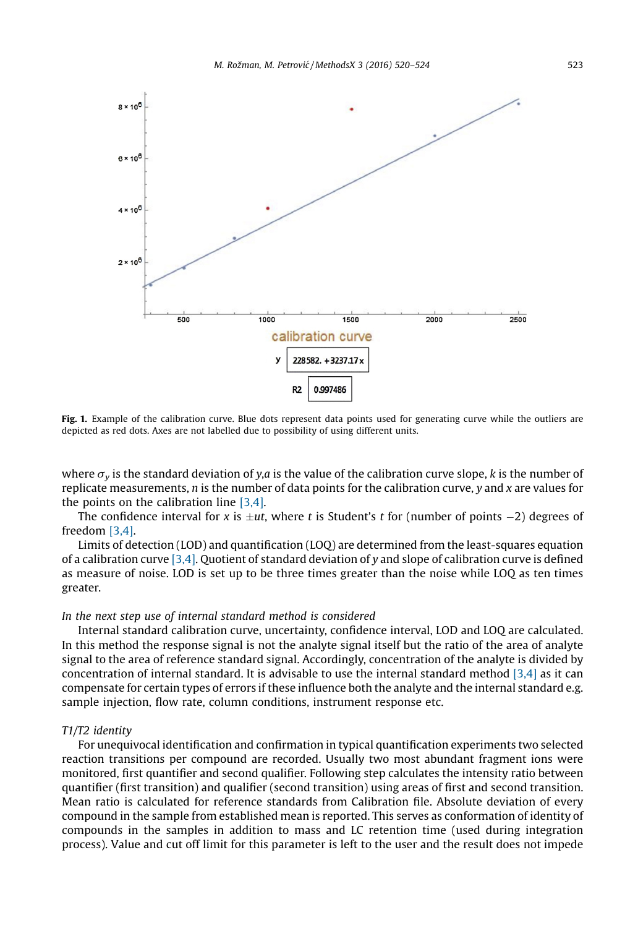<span id="page-3-0"></span>

Fig. 1. Example of the calibration curve. Blue dots represent data points used for generating curve while the outliers are depicted as red dots. Axes are not labelled due to possibility of using different units.

where  $\sigma_{v}$  is the standard deviation of y,a is the value of the calibration curve slope, k is the number of replicate measurements,  $n$  is the number of data points for the calibration curve,  $\gamma$  and  $x$  are values for the points on the calibration line [\[3,4\]](#page-4-0).

The confidence interval for x is  $\pm ut$ , where t is Student's t for (number of points  $-2$ ) degrees of freedom [\[3,4\].](#page-4-0)

Limits of detection (LOD) and quantification (LOQ) are determined from the least-squares equation of a calibration curve [\[3,4\]](#page-4-0). Quotient of standard deviation of y and slope of calibration curve is defined as measure of noise. LOD is set up to be three times greater than the noise while LOQ as ten times greater.

#### In the next step use of internal standard method is considered

Internal standard calibration curve, uncertainty, confidence interval, LOD and LOQ are calculated. In this method the response signal is not the analyte signal itself but the ratio of the area of analyte signal to the area of reference standard signal. Accordingly, concentration of the analyte is divided by concentration of internal standard. It is advisable to use the internal standard method [\[3,4\]](#page-4-0) as it can compensate for certain types of errors if these influence both the analyte and the internal standard e.g. sample injection, flow rate, column conditions, instrument response etc.

#### T1/T2 identity

For unequivocal identification and confirmation in typical quantification experiments two selected reaction transitions per compound are recorded. Usually two most abundant fragment ions were monitored, first quantifier and second qualifier. Following step calculates the intensity ratio between quantifier (first transition) and qualifier (second transition) using areas of first and second transition. Mean ratio is calculated for reference standards from Calibration file. Absolute deviation of every compound in the sample from established mean is reported. This serves as conformation of identity of compounds in the samples in addition to mass and LC retention time (used during integration process). Value and cut off limit for this parameter is left to the user and the result does not impede